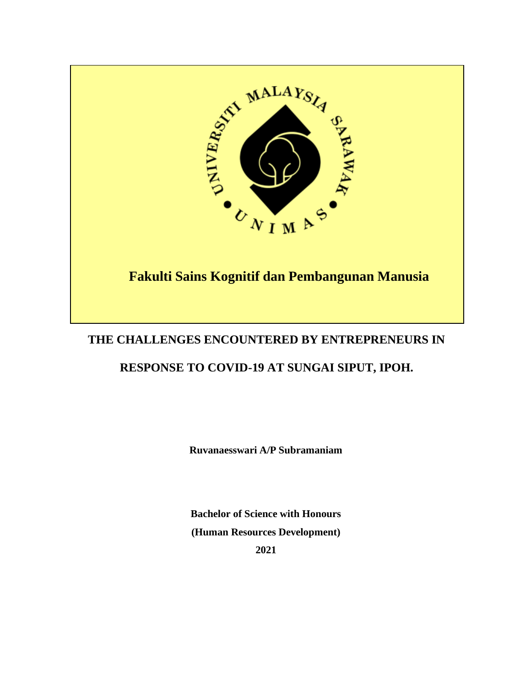

# **THE CHALLENGES ENCOUNTERED BY ENTREPRENEURS IN**

# **RESPONSE TO COVID-19 AT SUNGAI SIPUT, IPOH.**

**Ruvanaesswari A/P Subramaniam**

**Bachelor of Science with Honours (Human Resources Development) 2021**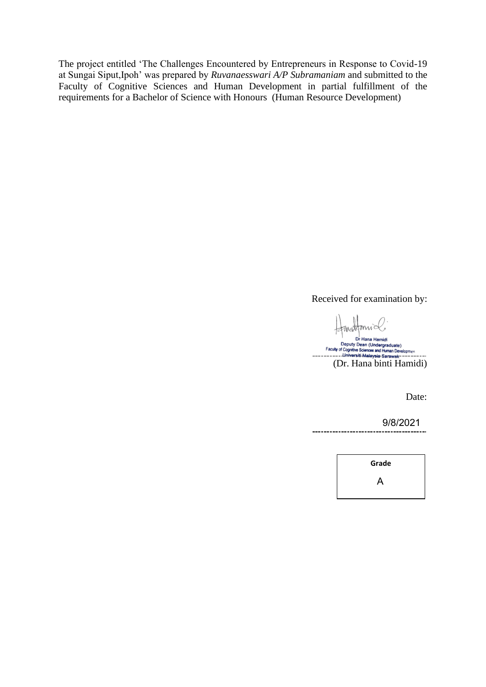The project entitled 'The Challenges Encountered by Entrepreneurs in Response to Covid-19 at Sungai Siput,Ipoh' was prepared by *Ruvanaesswari A/P Subramaniam* and submitted to the Faculty of Cognitive Sciences and Human Development in partial fulfillment of the requirements for a Bachelor of Science with Honours (Human Resource Development)

Received for examination by:

mattani Dr Hana Hamidi (Dr. Hana binti Hamidi)

Date:

9/8/2021

**Grade** A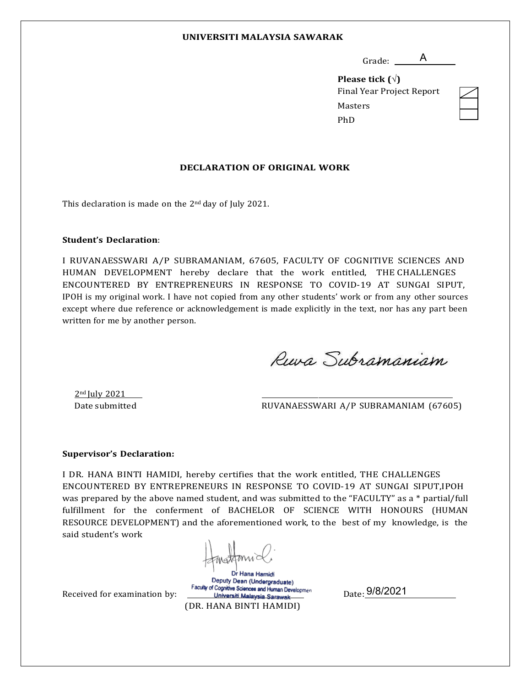#### **UNIVERSITI MALAYSIA SAWARAK**

Grade: \_\_\_\_\_\_A

**Please tick ()** Final Year Project Report Masters PhD

#### **DECLARATION OF ORIGINAL WORK**

This declaration is made on the 2nd day of July 2021.

#### **Student's Declaration**:

I RUVANAESSWARI A/P SUBRAMANIAM, 67605, FACULTY OF COGNITIVE SCIENCES AND HUMAN DEVELOPMENT hereby declare that the work entitled, THE CHALLENGES ENCOUNTERED BY ENTREPRENEURS IN RESPONSE TO COVID-19 AT SUNGAI SIPUT, IPOH is my original work. I have not copied from any other students' work or from any other sources except where due reference or acknowledgement is made explicitly in the text, nor has any part been written for me by another person.

Ruva Subramaniam

2nd July 2021

Date submitted **RUVANAESSWARI A/P SUBRAMANIAM (67605)** 

#### **Supervisor's Declaration:**

I DR. HANA BINTI HAMIDI, hereby certifies that the work entitled, THE CHALLENGES ENCOUNTERED BY ENTREPRENEURS IN RESPONSE TO COVID-19 AT SUNGAI SIPUT,IPOH was prepared by the above named student, and was submitted to the "FACULTY" as a \* partial/full fulfillment for the conferment of BACHELOR OF SCIENCE WITH HONOURS (HUMAN RESOURCE DEVELOPMENT) and the aforementioned work, to the best of my knowledge, is the said student's work

Received for examination by:

Dr Hana Hamidi Deputy Dean (Undergraduate) Faculty of Cognitive Sciences and Human Development Universiti Malaysia Sarawak (DR. HANA BINTI HAMIDI)

<sub>Date:</sub> 9/8/2021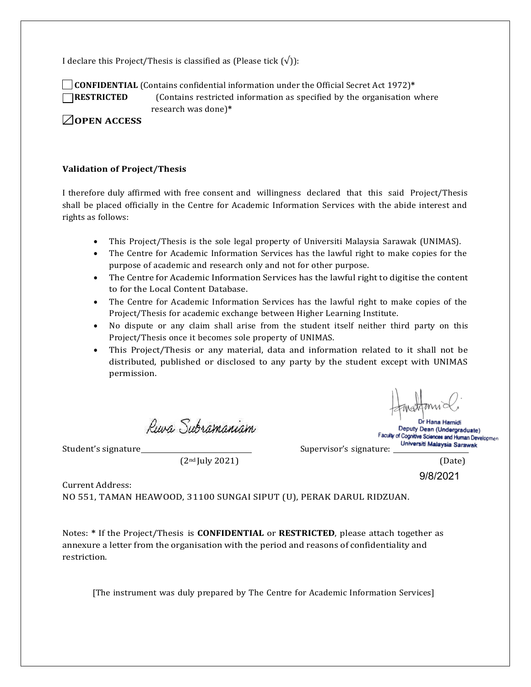I declare this Project/Thesis is classified as (Please tick  $(\sqrt{})$ ):

**CONFIDENTIAL** (Contains confidential information under the Official Secret Act 1972)**\* RESTRICTED** (Contains restricted information as specified by the organisation where

research was done)**\***

**OPEN ACCESS**

#### **Validation of Project/Thesis**

I therefore duly affirmed with free consent and willingness declared that this said Project/Thesis shall be placed officially in the Centre for Academic Information Services with the abide interest and rights as follows:

- This Project/Thesis is the sole legal property of Universiti Malaysia Sarawak (UNIMAS).
- The Centre for Academic Information Services has the lawful right to make copies for the purpose of academic and research only and not for other purpose.
- The Centre for Academic Information Services has the lawful right to digitise the content to for the Local Content Database.
- The Centre for Academic Information Services has the lawful right to make copies of the Project/Thesis for academic exchange between Higher Learning Institute.
- No dispute or any claim shall arise from the student itself neither third party on this Project/Thesis once it becomes sole property of UNIMAS.
- This Project/Thesis or any material, data and information related to it shall not be distributed, published or disclosed to any party by the student except with UNIMAS permission.

Rura Subramaniam

 $(2<sup>nd</sup>]$ uly 2021) (Date)

Dr Hana Hamidi Deputy Dean (Undergraduate) Faculty of Cognitive Sciences and Human Development Universiti Malaysia Sarawak

Student's signature Supervisor's signature:

9/8/2021

Current Address:

NO 551, TAMAN HEAWOOD, 31100 SUNGAI SIPUT (U), PERAK DARUL RIDZUAN.

Notes: **\*** If the Project/Thesis is **CONFIDENTIAL** or **RESTRICTED**, please attach together as annexure a letter from the organisation with the period and reasons of confidentiality and restriction.

[The instrument was duly prepared by The Centre for Academic Information Services]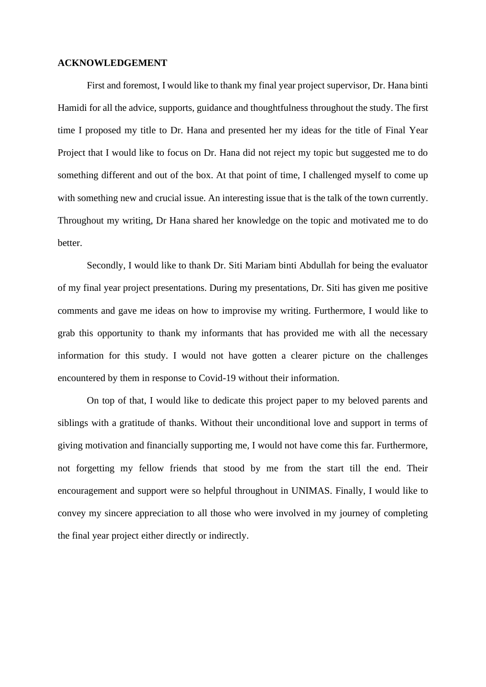### **ACKNOWLEDGEMENT**

First and foremost, I would like to thank my final year project supervisor, Dr. Hana binti Hamidi for all the advice, supports, guidance and thoughtfulness throughout the study. The first time I proposed my title to Dr. Hana and presented her my ideas for the title of Final Year Project that I would like to focus on Dr. Hana did not reject my topic but suggested me to do something different and out of the box. At that point of time, I challenged myself to come up with something new and crucial issue. An interesting issue that is the talk of the town currently. Throughout my writing, Dr Hana shared her knowledge on the topic and motivated me to do better.

Secondly, I would like to thank Dr. Siti Mariam binti Abdullah for being the evaluator of my final year project presentations. During my presentations, Dr. Siti has given me positive comments and gave me ideas on how to improvise my writing. Furthermore, I would like to grab this opportunity to thank my informants that has provided me with all the necessary information for this study. I would not have gotten a clearer picture on the challenges encountered by them in response to Covid-19 without their information.

On top of that, I would like to dedicate this project paper to my beloved parents and siblings with a gratitude of thanks. Without their unconditional love and support in terms of giving motivation and financially supporting me, I would not have come this far. Furthermore, not forgetting my fellow friends that stood by me from the start till the end. Their encouragement and support were so helpful throughout in UNIMAS. Finally, I would like to convey my sincere appreciation to all those who were involved in my journey of completing the final year project either directly or indirectly.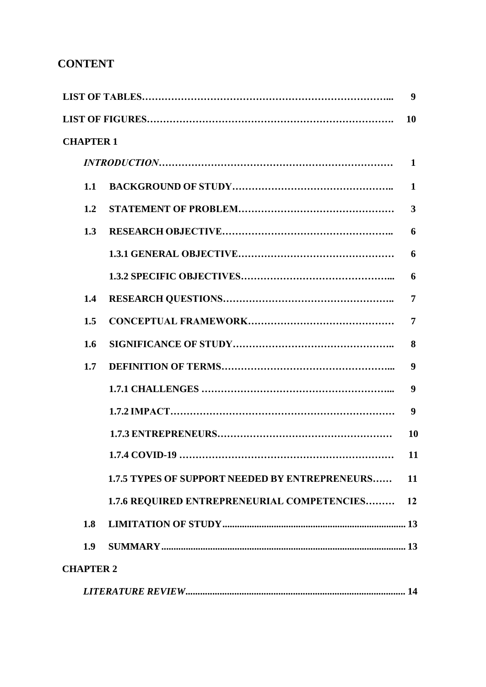# **CONTENT**

|                  |                                                       | 9              |  |
|------------------|-------------------------------------------------------|----------------|--|
|                  |                                                       | 10             |  |
| <b>CHAPTER 1</b> |                                                       |                |  |
|                  |                                                       |                |  |
| 1.1              |                                                       | $\mathbf{1}$   |  |
| 1.2              |                                                       | 3              |  |
| 1.3              |                                                       | 6              |  |
|                  |                                                       | 6              |  |
|                  |                                                       | 6              |  |
| 1.4              |                                                       | $\overline{7}$ |  |
| 1.5              |                                                       | $\overline{7}$ |  |
| 1.6              |                                                       | 8              |  |
| 1.7              |                                                       | 9              |  |
|                  |                                                       | 9              |  |
|                  |                                                       | 9              |  |
|                  |                                                       | <b>10</b>      |  |
|                  | 1.7.4 COVID-19                                        | 11             |  |
|                  | <b>1.7.5 TYPES OF SUPPORT NEEDED BY ENTREPRENEURS</b> | 11             |  |
|                  | 1.7.6 REQUIRED ENTREPRENEURIAL COMPETENCIES 12        |                |  |
| 1.8              |                                                       |                |  |
| 1.9              |                                                       |                |  |
| <b>CHAPTER 2</b> |                                                       |                |  |
|                  |                                                       |                |  |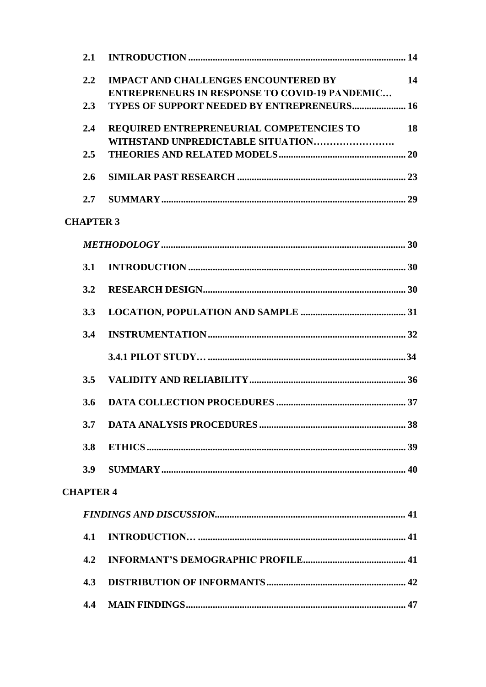| 2.1              |                                                                                                      |           |
|------------------|------------------------------------------------------------------------------------------------------|-----------|
| 2.2              | <b>IMPACT AND CHALLENGES ENCOUNTERED BY</b><br><b>ENTREPRENEURS IN RESPONSE TO COVID-19 PANDEMIC</b> | 14        |
| 2.3              | <b>TYPES OF SUPPORT NEEDED BY ENTREPRENEURS 16</b>                                                   |           |
| 2.4              | REQUIRED ENTREPRENEURIAL COMPETENCIES TO<br>WITHSTAND UNPREDICTABLE SITUATION                        | <b>18</b> |
| 2.5              |                                                                                                      |           |
| 2.6              |                                                                                                      |           |
| 2.7              |                                                                                                      |           |
| <b>CHAPTER 3</b> |                                                                                                      |           |
|                  |                                                                                                      |           |
| 3.1              |                                                                                                      |           |
| 3.2              |                                                                                                      |           |
| 3.3              |                                                                                                      |           |
| 3.4              |                                                                                                      |           |
|                  |                                                                                                      |           |
| 3.5              |                                                                                                      |           |
| 3.6              |                                                                                                      |           |
| 3.7              |                                                                                                      |           |
| 3.8              |                                                                                                      |           |
| 3.9              |                                                                                                      |           |
| <b>CHAPTER 4</b> |                                                                                                      |           |
|                  |                                                                                                      |           |
| 4.1              |                                                                                                      |           |
| 4.2              |                                                                                                      |           |
| 4.3              |                                                                                                      |           |
| 4.4              |                                                                                                      |           |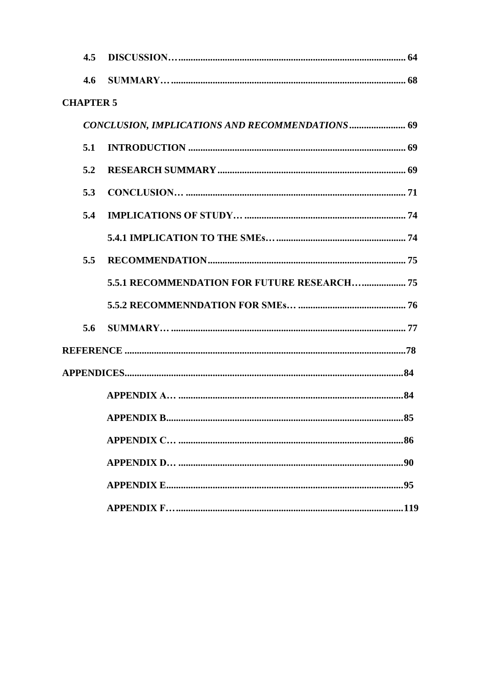| 4.5              |                                                 |
|------------------|-------------------------------------------------|
| 4.6              |                                                 |
| <b>CHAPTER 5</b> |                                                 |
|                  | CONCLUSION, IMPLICATIONS AND RECOMMENDATIONS 69 |
| 5.1              |                                                 |
| 5.2              |                                                 |
| 5.3              |                                                 |
| 5.4              |                                                 |
|                  |                                                 |
| 5.5              |                                                 |
|                  | 5.5.1 RECOMMENDATION FOR FUTURE RESEARCH 75     |
|                  |                                                 |
| 5.6              |                                                 |
|                  |                                                 |
|                  |                                                 |
|                  |                                                 |
|                  |                                                 |
|                  |                                                 |
|                  |                                                 |
|                  |                                                 |
|                  |                                                 |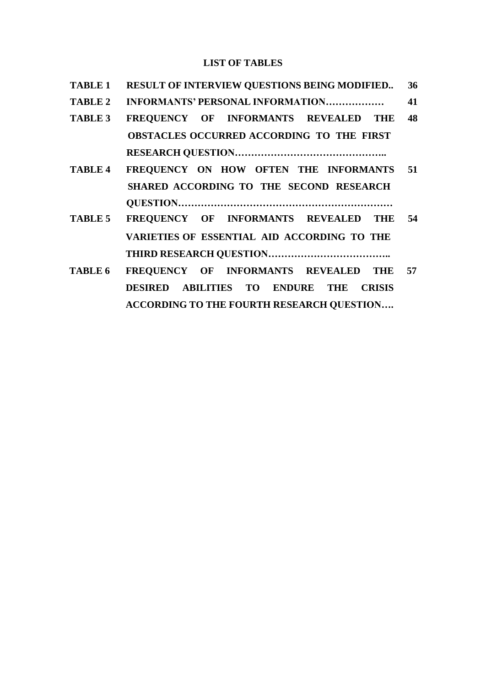# **LIST OF TABLES**

| <b>TABLE 1</b> | RESULT OF INTERVIEW QUESTIONS BEING MODIFIED     | 36 |
|----------------|--------------------------------------------------|----|
| <b>TABLE 2</b> | INFORMANTS' PERSONAL INFORMATION                 | 41 |
| <b>TABLE 3</b> | FREQUENCY OF INFORMANTS REVEALED THE             | 48 |
|                | OBSTACLES OCCURRED ACCORDING TO THE FIRST        |    |
|                |                                                  |    |
| <b>TABLE 4</b> | FREQUENCY ON HOW OFTEN THE INFORMANTS 51         |    |
|                | SHARED ACCORDING TO THE SECOND RESEARCH          |    |
|                |                                                  |    |
| TABLE 5        | FREQUENCY OF INFORMANTS REVEALED THE 54          |    |
|                | VARIETIES OF ESSENTIAL AID ACCORDING TO THE      |    |
|                |                                                  |    |
| TABLE 6        | FREQUENCY OF INFORMANTS REVEALED THE 57          |    |
|                | DESIRED ABILITIES TO ENDURE THE CRISIS           |    |
|                | <b>ACCORDING TO THE FOURTH RESEARCH QUESTION</b> |    |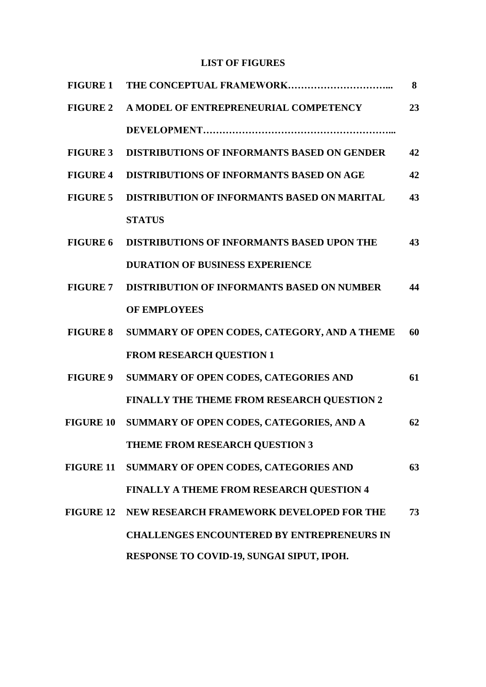# **LIST OF FIGURES**

| <b>FIGURE 1</b> |                                                    | 8  |
|-----------------|----------------------------------------------------|----|
| <b>FIGURE 2</b> | A MODEL OF ENTREPRENEURIAL COMPETENCY              | 23 |
|                 |                                                    |    |
| <b>FIGURE 3</b> | DISTRIBUTIONS OF INFORMANTS BASED ON GENDER        | 42 |
| <b>FIGURE 4</b> | <b>DISTRIBUTIONS OF INFORMANTS BASED ON AGE</b>    | 42 |
| <b>FIGURE 5</b> | DISTRIBUTION OF INFORMANTS BASED ON MARITAL        | 43 |
|                 | <b>STATUS</b>                                      |    |
| <b>FIGURE 6</b> | <b>DISTRIBUTIONS OF INFORMANTS BASED UPON THE</b>  | 43 |
|                 | <b>DURATION OF BUSINESS EXPERIENCE</b>             |    |
| <b>FIGURE 7</b> | <b>DISTRIBUTION OF INFORMANTS BASED ON NUMBER</b>  | 44 |
|                 | <b>OF EMPLOYEES</b>                                |    |
| <b>FIGURE 8</b> | SUMMARY OF OPEN CODES, CATEGORY, AND A THEME       | 60 |
|                 | <b>FROM RESEARCH QUESTION 1</b>                    |    |
| <b>FIGURE 9</b> | SUMMARY OF OPEN CODES, CATEGORIES AND              | 61 |
|                 | FINALLY THE THEME FROM RESEARCH QUESTION 2         |    |
|                 | FIGURE 10 SUMMARY OF OPEN CODES, CATEGORIES, AND A | 62 |
|                 | THEME FROM RESEARCH QUESTION 3                     |    |
|                 | FIGURE 11 SUMMARY OF OPEN CODES, CATEGORIES AND    | 63 |
|                 | FINALLY A THEME FROM RESEARCH QUESTION 4           |    |
|                 | FIGURE 12 NEW RESEARCH FRAMEWORK DEVELOPED FOR THE | 73 |
|                 | <b>CHALLENGES ENCOUNTERED BY ENTREPRENEURS IN</b>  |    |
|                 | RESPONSE TO COVID-19, SUNGAI SIPUT, IPOH.          |    |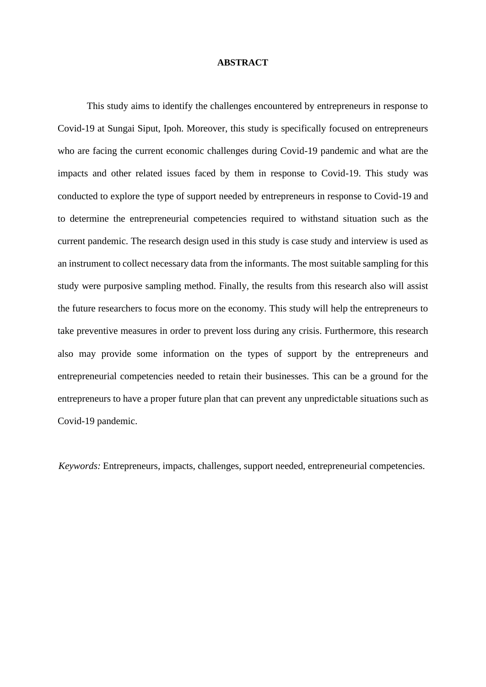#### **ABSTRACT**

This study aims to identify the challenges encountered by entrepreneurs in response to Covid-19 at Sungai Siput, Ipoh. Moreover, this study is specifically focused on entrepreneurs who are facing the current economic challenges during Covid-19 pandemic and what are the impacts and other related issues faced by them in response to Covid-19. This study was conducted to explore the type of support needed by entrepreneurs in response to Covid-19 and to determine the entrepreneurial competencies required to withstand situation such as the current pandemic. The research design used in this study is case study and interview is used as an instrument to collect necessary data from the informants. The most suitable sampling for this study were purposive sampling method. Finally, the results from this research also will assist the future researchers to focus more on the economy. This study will help the entrepreneurs to take preventive measures in order to prevent loss during any crisis. Furthermore, this research also may provide some information on the types of support by the entrepreneurs and entrepreneurial competencies needed to retain their businesses. This can be a ground for the entrepreneurs to have a proper future plan that can prevent any unpredictable situations such as Covid-19 pandemic.

*Keywords:* Entrepreneurs, impacts, challenges, support needed, entrepreneurial competencies.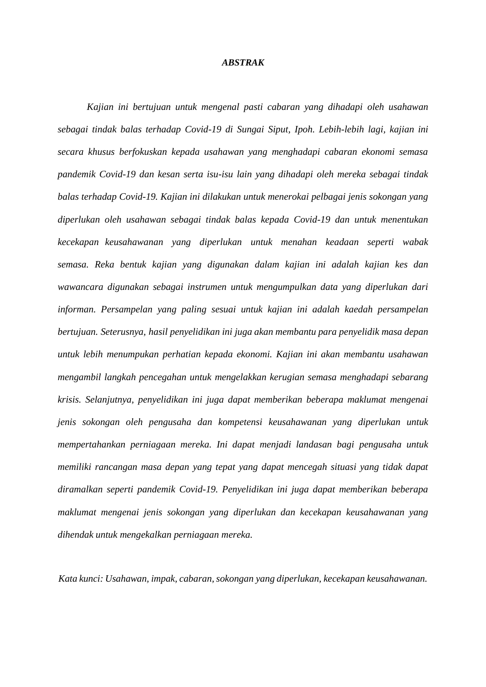#### *ABSTRAK*

*Kajian ini bertujuan untuk mengenal pasti cabaran yang dihadapi oleh usahawan sebagai tindak balas terhadap Covid-19 di Sungai Siput, Ipoh. Lebih-lebih lagi, kajian ini secara khusus berfokuskan kepada usahawan yang menghadapi cabaran ekonomi semasa pandemik Covid-19 dan kesan serta isu-isu lain yang dihadapi oleh mereka sebagai tindak balas terhadap Covid-19. Kajian ini dilakukan untuk menerokai pelbagai jenis sokongan yang diperlukan oleh usahawan sebagai tindak balas kepada Covid-19 dan untuk menentukan kecekapan keusahawanan yang diperlukan untuk menahan keadaan seperti wabak semasa. Reka bentuk kajian yang digunakan dalam kajian ini adalah kajian kes dan wawancara digunakan sebagai instrumen untuk mengumpulkan data yang diperlukan dari informan. Persampelan yang paling sesuai untuk kajian ini adalah kaedah persampelan bertujuan. Seterusnya, hasil penyelidikan ini juga akan membantu para penyelidik masa depan untuk lebih menumpukan perhatian kepada ekonomi. Kajian ini akan membantu usahawan mengambil langkah pencegahan untuk mengelakkan kerugian semasa menghadapi sebarang krisis. Selanjutnya, penyelidikan ini juga dapat memberikan beberapa maklumat mengenai jenis sokongan oleh pengusaha dan kompetensi keusahawanan yang diperlukan untuk mempertahankan perniagaan mereka. Ini dapat menjadi landasan bagi pengusaha untuk memiliki rancangan masa depan yang tepat yang dapat mencegah situasi yang tidak dapat diramalkan seperti pandemik Covid-19. Penyelidikan ini juga dapat memberikan beberapa maklumat mengenai jenis sokongan yang diperlukan dan kecekapan keusahawanan yang dihendak untuk mengekalkan perniagaan mereka.*

*Kata kunci: Usahawan, impak, cabaran,sokongan yang diperlukan, kecekapan keusahawanan.*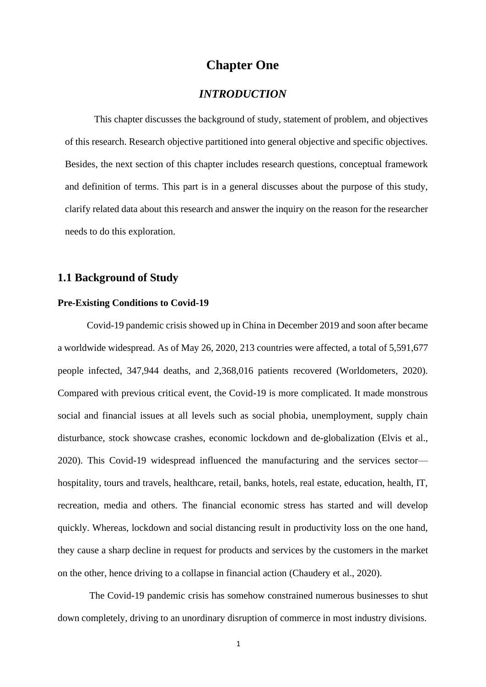# **Chapter One**

# *INTRODUCTION*

This chapter discusses the background of study, statement of problem, and objectives of this research. Research objective partitioned into general objective and specific objectives. Besides, the next section of this chapter includes research questions, conceptual framework and definition of terms. This part is in a general discusses about the purpose of this study, clarify related data about this research and answer the inquiry on the reason for the researcher needs to do this exploration.

# **1.1 Background of Study**

## **Pre-Existing Conditions to Covid-19**

Covid-19 pandemic crisis showed up in China in December 2019 and soon after became a worldwide widespread. As of May 26, 2020, 213 countries were affected, a total of 5,591,677 people infected, 347,944 deaths, and 2,368,016 patients recovered (Worldometers, 2020). Compared with previous critical event, the Covid-19 is more complicated. It made monstrous social and financial issues at all levels such as social phobia, unemployment, supply chain disturbance, stock showcase crashes, economic lockdown and de-globalization (Elvis et al., 2020). This Covid-19 widespread influenced the manufacturing and the services sector hospitality, tours and travels, healthcare, retail, banks, hotels, real estate, education, health, IT, recreation, media and others. The financial economic stress has started and will develop quickly. Whereas, lockdown and social distancing result in productivity loss on the one hand, they cause a sharp decline in request for products and services by the customers in the market on the other, hence driving to a collapse in financial action (Chaudery et al., 2020).

The Covid-19 pandemic crisis has somehow constrained numerous businesses to shut down completely, driving to an unordinary disruption of commerce in most industry divisions.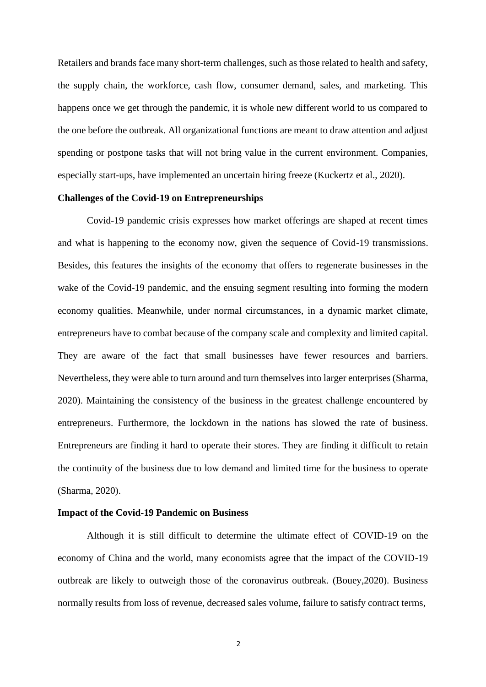Retailers and brands face many short-term challenges, such as those related to health and safety, the supply chain, the workforce, cash flow, consumer demand, sales, and marketing. This happens once we get through the pandemic, it is whole new different world to us compared to the one before the outbreak. All organizational functions are meant to draw attention and adjust spending or postpone tasks that will not bring value in the current environment. Companies, especially start-ups, have implemented an uncertain hiring freeze (Kuckertz et al., 2020).

## **Challenges of the Covid-19 on Entrepreneurships**

Covid-19 pandemic crisis expresses how market offerings are shaped at recent times and what is happening to the economy now, given the sequence of Covid-19 transmissions. Besides, this features the insights of the economy that offers to regenerate businesses in the wake of the Covid-19 pandemic, and the ensuing segment resulting into forming the modern economy qualities. Meanwhile, under normal circumstances, in a dynamic market climate, entrepreneurs have to combat because of the company scale and complexity and limited capital. They are aware of the fact that small businesses have fewer resources and barriers. Nevertheless, they were able to turn around and turn themselves into larger enterprises (Sharma, 2020). Maintaining the consistency of the business in the greatest challenge encountered by entrepreneurs. Furthermore, the lockdown in the nations has slowed the rate of business. Entrepreneurs are finding it hard to operate their stores. They are finding it difficult to retain the continuity of the business due to low demand and limited time for the business to operate (Sharma, 2020).

### **Impact of the Covid-19 Pandemic on Business**

Although it is still difficult to determine the ultimate effect of COVID-19 on the economy of China and the world, many economists agree that the impact of the COVID-19 outbreak are likely to outweigh those of the coronavirus outbreak. (Bouey,2020). Business normally results from loss of revenue, decreased sales volume, failure to satisfy contract terms,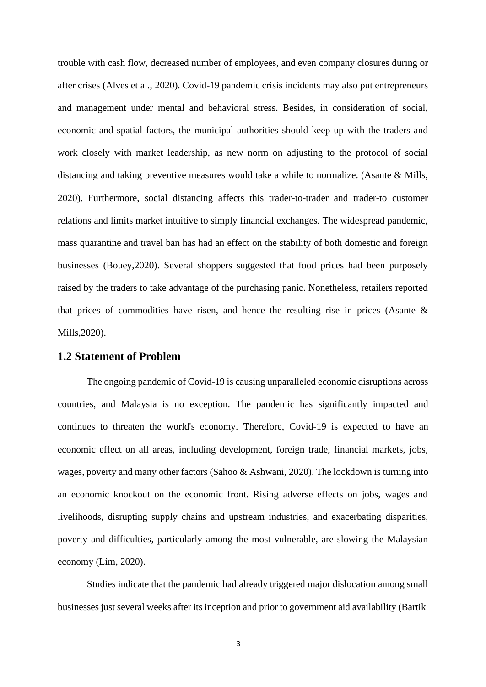trouble with cash flow, decreased number of employees, and even company closures during or after crises (Alves et al., 2020). Covid-19 pandemic crisis incidents may also put entrepreneurs and management under mental and behavioral stress. Besides, in consideration of social, economic and spatial factors, the municipal authorities should keep up with the traders and work closely with market leadership, as new norm on adjusting to the protocol of social distancing and taking preventive measures would take a while to normalize. (Asante & Mills, 2020). Furthermore, social distancing affects this trader-to-trader and trader-to customer relations and limits market intuitive to simply financial exchanges. The widespread pandemic, mass quarantine and travel ban has had an effect on the stability of both domestic and foreign businesses (Bouey,2020). Several shoppers suggested that food prices had been purposely raised by the traders to take advantage of the purchasing panic. Nonetheless, retailers reported that prices of commodities have risen, and hence the resulting rise in prices (Asante  $\&$ Mills,2020).

# **1.2 Statement of Problem**

The ongoing pandemic of Covid-19 is causing unparalleled economic disruptions across countries, and Malaysia is no exception. The pandemic has significantly impacted and continues to threaten the world's economy. Therefore, Covid-19 is expected to have an economic effect on all areas, including development, foreign trade, financial markets, jobs, wages, poverty and many other factors (Sahoo & Ashwani, 2020). The lockdown is turning into an economic knockout on the economic front. Rising adverse effects on jobs, wages and livelihoods, disrupting supply chains and upstream industries, and exacerbating disparities, poverty and difficulties, particularly among the most vulnerable, are slowing the Malaysian economy (Lim, 2020).

Studies indicate that the pandemic had already triggered major dislocation among small businesses just several weeks after its inception and prior to government aid availability (Bartik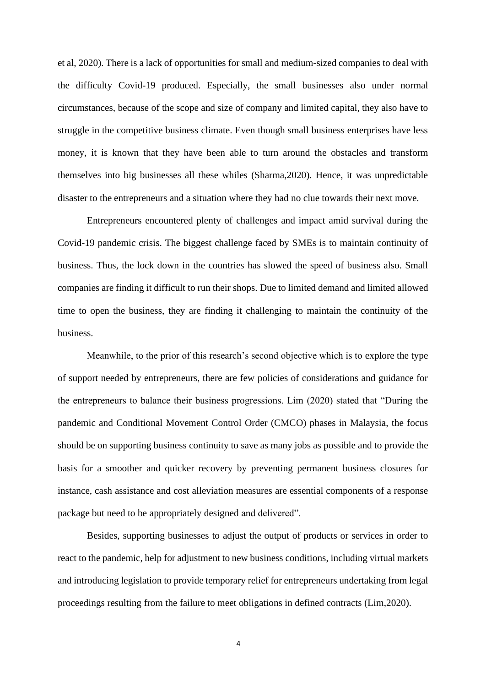et al, 2020). There is a lack of opportunities for small and medium-sized companies to deal with the difficulty Covid-19 produced. Especially, the small businesses also under normal circumstances, because of the scope and size of company and limited capital, they also have to struggle in the competitive business climate. Even though small business enterprises have less money, it is known that they have been able to turn around the obstacles and transform themselves into big businesses all these whiles (Sharma,2020). Hence, it was unpredictable disaster to the entrepreneurs and a situation where they had no clue towards their next move.

Entrepreneurs encountered plenty of challenges and impact amid survival during the Covid-19 pandemic crisis. The biggest challenge faced by SMEs is to maintain continuity of business. Thus, the lock down in the countries has slowed the speed of business also. Small companies are finding it difficult to run their shops. Due to limited demand and limited allowed time to open the business, they are finding it challenging to maintain the continuity of the business.

Meanwhile, to the prior of this research's second objective which is to explore the type of support needed by entrepreneurs, there are few policies of considerations and guidance for the entrepreneurs to balance their business progressions. Lim (2020) stated that "During the pandemic and Conditional Movement Control Order (CMCO) phases in Malaysia, the focus should be on supporting business continuity to save as many jobs as possible and to provide the basis for a smoother and quicker recovery by preventing permanent business closures for instance, cash assistance and cost alleviation measures are essential components of a response package but need to be appropriately designed and delivered".

Besides, supporting businesses to adjust the output of products or services in order to react to the pandemic, help for adjustment to new business conditions, including virtual markets and introducing legislation to provide temporary relief for entrepreneurs undertaking from legal proceedings resulting from the failure to meet obligations in defined contracts (Lim,2020).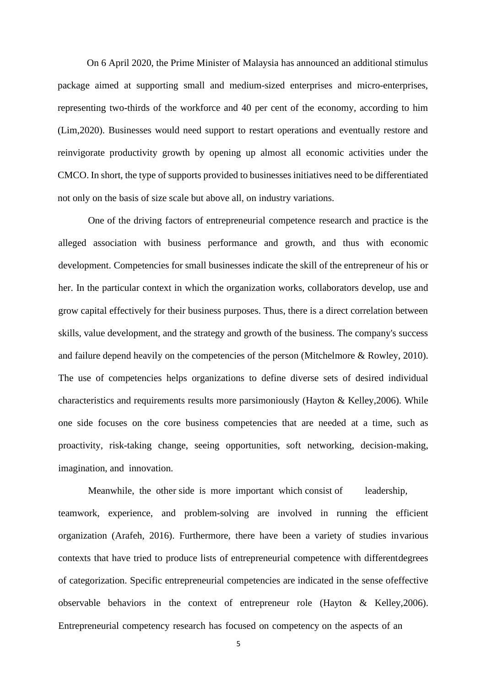On 6 April 2020, the Prime Minister of Malaysia has announced an additional stimulus package aimed at supporting small and medium-sized enterprises and micro-enterprises, representing two-thirds of the workforce and 40 per cent of the economy, according to him (Lim,2020). Businesses would need support to restart operations and eventually restore and reinvigorate productivity growth by opening up almost all economic activities under the CMCO. In short, the type of supports provided to businesses initiatives need to be differentiated not only on the basis of size scale but above all, on industry variations.

One of the driving factors of entrepreneurial competence research and practice is the alleged association with business performance and growth, and thus with economic development. Competencies for small businesses indicate the skill of the entrepreneur of his or her. In the particular context in which the organization works, collaborators develop, use and grow capital effectively for their business purposes. Thus, there is a direct correlation between skills, value development, and the strategy and growth of the business. The company's success and failure depend heavily on the competencies of the person (Mitchelmore & Rowley, 2010). The use of competencies helps organizations to define diverse sets of desired individual characteristics and requirements results more parsimoniously (Hayton & Kelley,2006). While one side focuses on the core business competencies that are needed at a time, such as proactivity, risk-taking change, seeing opportunities, soft networking, decision-making, imagination, and innovation.

Meanwhile, the other side is more important which consist of leadership, teamwork, experience, and problem-solving are involved in running the efficient organization (Arafeh, 2016). Furthermore, there have been a variety of studies invarious contexts that have tried to produce lists of entrepreneurial competence with differentdegrees of categorization. Specific entrepreneurial competencies are indicated in the sense ofeffective observable behaviors in the context of entrepreneur role (Hayton & Kelley,2006). Entrepreneurial competency research has focused on competency on the aspects of an

5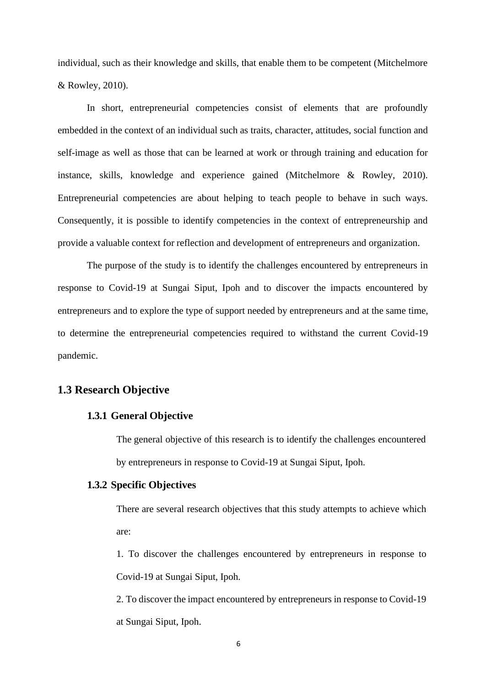individual, such as their knowledge and skills, that enable them to be competent (Mitchelmore & Rowley, 2010).

In short, entrepreneurial competencies consist of elements that are profoundly embedded in the context of an individual such as traits, character, attitudes, social function and self-image as well as those that can be learned at work or through training and education for instance, skills, knowledge and experience gained (Mitchelmore & Rowley, 2010). Entrepreneurial competencies are about helping to teach people to behave in such ways. Consequently, it is possible to identify competencies in the context of entrepreneurship and provide a valuable context for reflection and development of entrepreneurs and organization.

The purpose of the study is to identify the challenges encountered by entrepreneurs in response to Covid-19 at Sungai Siput, Ipoh and to discover the impacts encountered by entrepreneurs and to explore the type of support needed by entrepreneurs and at the same time, to determine the entrepreneurial competencies required to withstand the current Covid-19 pandemic.

# **1.3 Research Objective**

# **1.3.1 General Objective**

The general objective of this research is to identify the challenges encountered by entrepreneurs in response to Covid-19 at Sungai Siput, Ipoh.

# **1.3.2 Specific Objectives**

There are several research objectives that this study attempts to achieve which are:

1. To discover the challenges encountered by entrepreneurs in response to Covid-19 at Sungai Siput, Ipoh.

2. To discover the impact encountered by entrepreneurs in response to Covid-19 at Sungai Siput, Ipoh.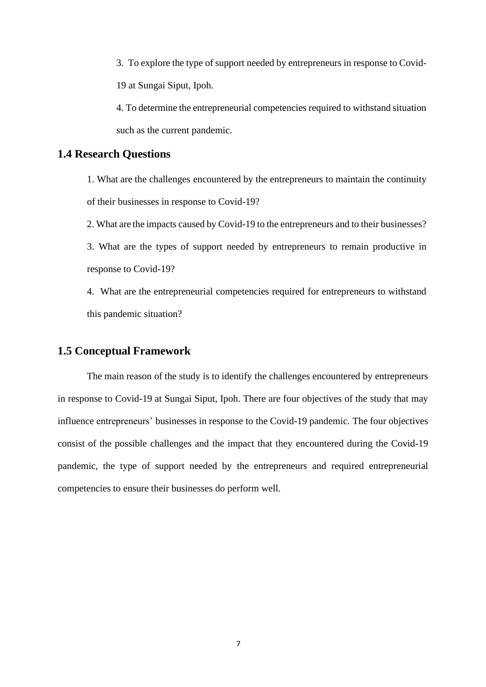3. To explore the type of support needed by entrepreneurs in response to Covid-19 at Sungai Siput, Ipoh.

4. To determine the entrepreneurial competencies required to withstand situation such as the current pandemic.

# **1.4 Research Questions**

1. What are the challenges encountered by the entrepreneurs to maintain the continuity of their businesses in response to Covid-19?

2. What are the impacts caused by Covid-19 to the entrepreneurs and to their businesses?

3. What are the types of support needed by entrepreneurs to remain productive in response to Covid-19?

4. What are the entrepreneurial competencies required for entrepreneurs to withstand this pandemic situation?

# **1.5 Conceptual Framework**

The main reason of the study is to identify the challenges encountered by entrepreneurs in response to Covid-19 at Sungai Siput, Ipoh. There are four objectives of the study that may influence entrepreneurs' businesses in response to the Covid-19 pandemic. The four objectives consist of the possible challenges and the impact that they encountered during the Covid-19 pandemic, the type of support needed by the entrepreneurs and required entrepreneurial competencies to ensure their businesses do perform well.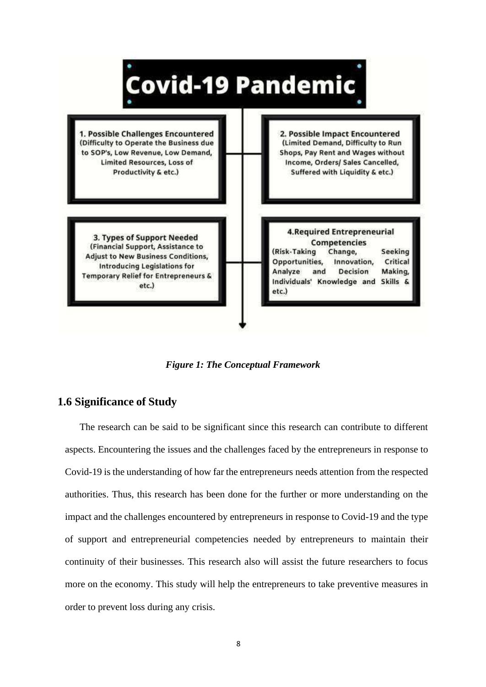

*Figure 1: The Conceptual Framework*

# **1.6 Significance of Study**

The research can be said to be significant since this research can contribute to different aspects. Encountering the issues and the challenges faced by the entrepreneurs in response to Covid-19 is the understanding of how far the entrepreneurs needs attention from the respected authorities. Thus, this research has been done for the further or more understanding on the impact and the challenges encountered by entrepreneurs in response to Covid-19 and the type of support and entrepreneurial competencies needed by entrepreneurs to maintain their continuity of their businesses. This research also will assist the future researchers to focus more on the economy. This study will help the entrepreneurs to take preventive measures in order to prevent loss during any crisis.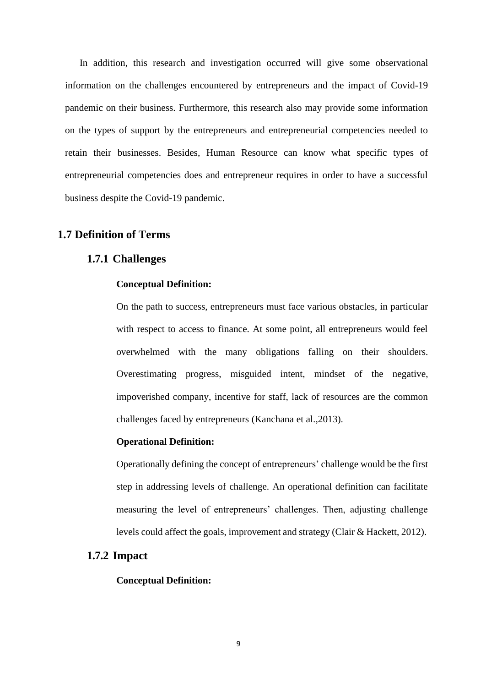In addition, this research and investigation occurred will give some observational information on the challenges encountered by entrepreneurs and the impact of Covid-19 pandemic on their business. Furthermore, this research also may provide some information on the types of support by the entrepreneurs and entrepreneurial competencies needed to retain their businesses. Besides, Human Resource can know what specific types of entrepreneurial competencies does and entrepreneur requires in order to have a successful business despite the Covid-19 pandemic.

# **1.7 Definition of Terms**

# **1.7.1 Challenges**

### **Conceptual Definition:**

On the path to success, entrepreneurs must face various obstacles, in particular with respect to access to finance. At some point, all entrepreneurs would feel overwhelmed with the many obligations falling on their shoulders. Overestimating progress, misguided intent, mindset of the negative, impoverished company, incentive for staff, lack of resources are the common challenges faced by entrepreneurs (Kanchana et al.,2013).

#### **Operational Definition:**

Operationally defining the concept of entrepreneurs' challenge would be the first step in addressing levels of challenge. An operational definition can facilitate measuring the level of entrepreneurs' challenges. Then, adjusting challenge levels could affect the goals, improvement and strategy (Clair & Hackett, 2012).

## **1.7.2 Impact**

#### **Conceptual Definition:**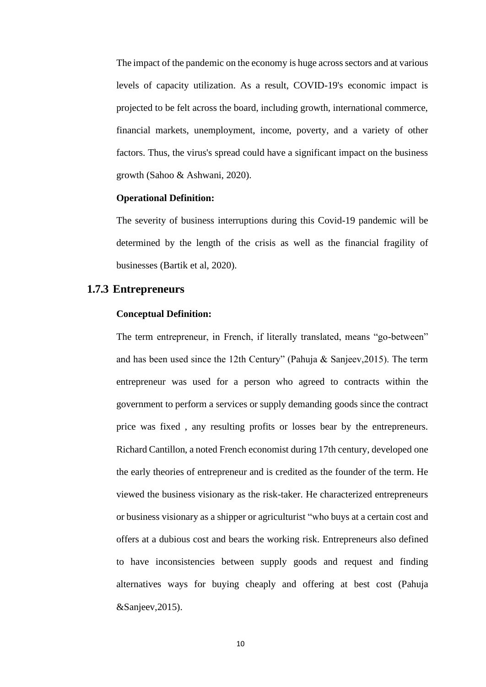The impact of the pandemic on the economy is huge across sectors and at various levels of capacity utilization. As a result, COVID-19's economic impact is projected to be felt across the board, including growth, international commerce, financial markets, unemployment, income, poverty, and a variety of other factors. Thus, the virus's spread could have a significant impact on the business growth (Sahoo & Ashwani, 2020).

### **Operational Definition:**

The severity of business interruptions during this Covid-19 pandemic will be determined by the length of the crisis as well as the financial fragility of businesses (Bartik et al, 2020).

# **1.7.3 Entrepreneurs**

### **Conceptual Definition:**

The term entrepreneur, in French, if literally translated, means "go-between" and has been used since the 12th Century" (Pahuja & Sanjeev, 2015). The term entrepreneur was used for a person who agreed to contracts within the government to perform a services or supply demanding goods since the contract price was fixed , any resulting profits or losses bear by the entrepreneurs. Richard Cantillon, a noted French economist during 17th century, developed one the early theories of entrepreneur and is credited as the founder of the term. He viewed the business visionary as the risk-taker. He characterized entrepreneurs or business visionary as a shipper or agriculturist "who buys at a certain cost and offers at a dubious cost and bears the working risk. Entrepreneurs also defined to have inconsistencies between supply goods and request and finding alternatives ways for buying cheaply and offering at best cost (Pahuja &Sanjeev,2015).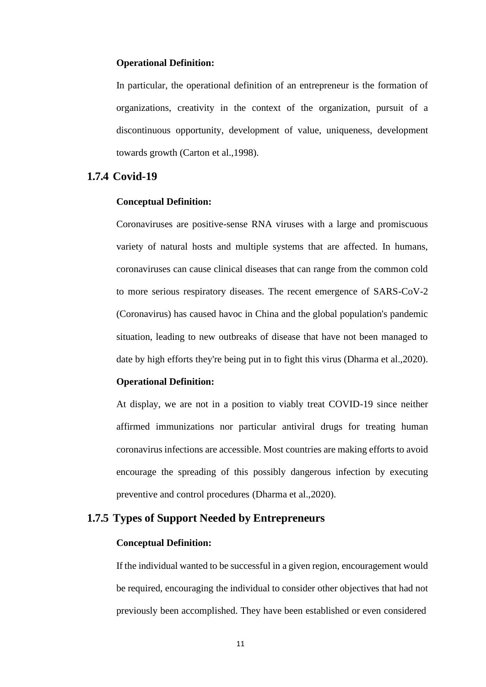### **Operational Definition:**

In particular, the operational definition of an entrepreneur is the formation of organizations, creativity in the context of the organization, pursuit of a discontinuous opportunity, development of value, uniqueness, development towards growth (Carton et al.,1998).

# **1.7.4 Covid-19**

### **Conceptual Definition:**

Coronaviruses are positive-sense RNA viruses with a large and promiscuous variety of natural hosts and multiple systems that are affected. In humans, coronaviruses can cause clinical diseases that can range from the common cold to more serious respiratory diseases. The recent emergence of SARS-CoV-2 (Coronavirus) has caused havoc in China and the global population's pandemic situation, leading to new outbreaks of disease that have not been managed to date by high efforts they're being put in to fight this virus (Dharma et al.,2020).

### **Operational Definition:**

At display, we are not in a position to viably treat COVID-19 since neither affirmed immunizations nor particular antiviral drugs for treating human coronavirus infections are accessible. Most countries are making efforts to avoid encourage the spreading of this possibly dangerous infection by executing preventive and control procedures (Dharma et al.,2020).

# **1.7.5 Types of Support Needed by Entrepreneurs**

## **Conceptual Definition:**

If the individual wanted to be successful in a given region, encouragement would be required, encouraging the individual to consider other objectives that had not previously been accomplished. They have been established or even considered